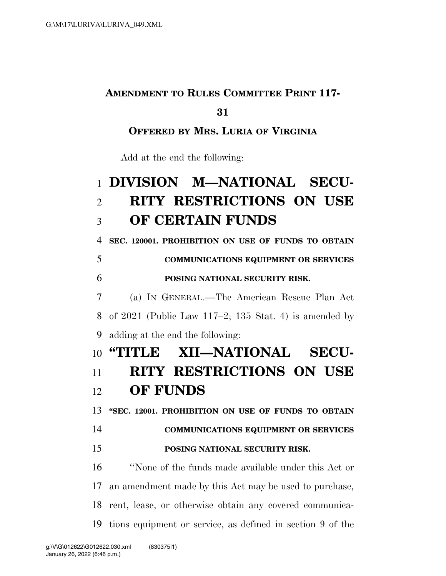### **AMENDMENT TO RULES COMMITTEE PRINT 117-**

#### 

#### **OFFERED BY MRS. LURIA OF VIRGINIA**

Add at the end the following:

# **DIVISION M—NATIONAL SECU- RITY RESTRICTIONS ON USE OF CERTAIN FUNDS**

**SEC. 120001. PROHIBITION ON USE OF FUNDS TO OBTAIN** 

# **COMMUNICATIONS EQUIPMENT OR SERVICES**

### **POSING NATIONAL SECURITY RISK.**

 (a) IN GENERAL.—The American Rescue Plan Act of 2021 (Public Law 117–2; 135 Stat. 4) is amended by adding at the end the following:

### **''TITLE XII—NATIONAL SECU-**

# **RITY RESTRICTIONS ON USE OF FUNDS**

**''SEC. 12001. PROHIBITION ON USE OF FUNDS TO OBTAIN** 

**COMMUNICATIONS EQUIPMENT OR SERVICES** 

### **POSING NATIONAL SECURITY RISK.**

 ''None of the funds made available under this Act or an amendment made by this Act may be used to purchase, rent, lease, or otherwise obtain any covered communica-tions equipment or service, as defined in section 9 of the